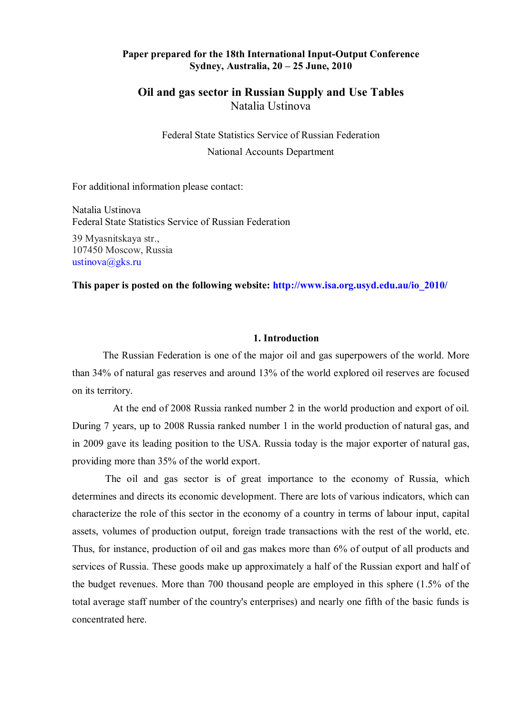# **Paper prepared for the 18th International Input-Output Conference Sydney, Australia, 20 – 25 June, 2010**

# **Oil and gas sector in Russian Supply and Use Tables** Natalia Ustinova

Federal State Statistics Service of Russian Federation National Accounts Department

For additional information please contact:

Natalia Ustinova Federal State Statistics Service of Russian Federation

39 Myasnitskaya str., 107450 Moscow, Russia [ustinova@gks.ru](mailto:Ustinova@gks.ru)

### **This paper is posted on the following website: [http://www.isa.org.usyd.edu.au/io\\_2010/](http://www.isa.org.usyd.edu.au/io_2010/)**

#### **1. Introduction**

The Russian Federation is one of the major oil and gas superpowers of the world. More than 34% of natural gas reserves and around 13% of the world explored oil reserves are focused on its territory.

 At the end of 2008 Russia ranked number 2 in the world production and export of oil. During 7 years, up to 2008 Russia ranked number 1 in the world production of natural gas, and in 2009 gave its leading position to the USA. Russia today is the major exporter of natural gas, providing more than 35% of the world export.

 The oil and gas sector is of great importance to the economy of Russia, which determines and directs its economic development. There are lots of various indicators, which can characterize the role of this sector in the economy of a country in terms of labour input, capital assets, volumes of production output, foreign trade transactions with the rest of the world, etc. Thus, for instance, production of oil and gas makes more than 6% of output of all products and services of Russia. These goods make up approximately a half of the Russian export and half of the budget revenues. More than 700 thousand people are employed in this sphere (1.5% of the total average staff number of the country's enterprises) and nearly one fifth of the basic funds is concentrated here.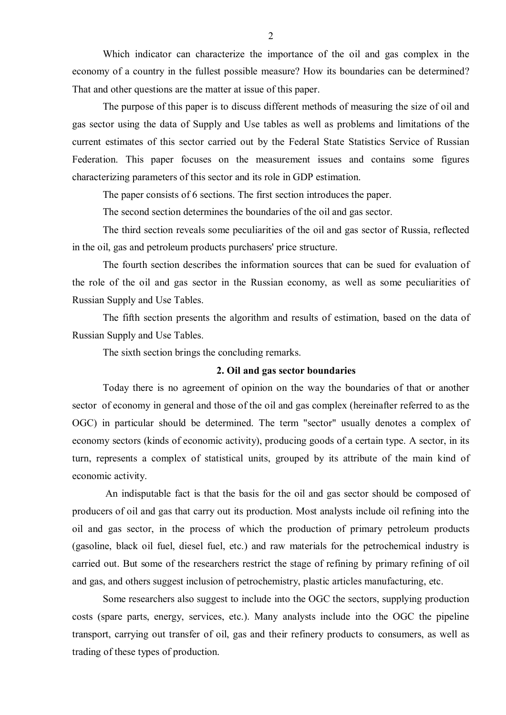Which indicator can characterize the importance of the oil and gas complex in the economy of a country in the fullest possible measure? How its boundaries can be determined? That and other questions are the matter at issue of this paper.

The purpose of this paper is to discuss different methods of measuring the size of oil and gas sector using the data of Supply and Use tables as well as problems and limitations of the current estimates of this sector carried out by the Federal State Statistics Service of Russian Federation. This paper focuses on the measurement issues and contains some figures characterizing parameters of this sector and its role in GDP estimation.

The paper consists of 6 sections. The first section introduces the paper.

The second section determines the boundaries of the oil and gas sector.

The third section reveals some peculiarities of the oil and gas sector of Russia, reflected in the oil, gas and petroleum products purchasers' price structure.

The fourth section describes the information sources that can be sued for evaluation of the role of the oil and gas sector in the Russian economy, as well as some peculiarities of Russian Supply and Use Tables.

The fifth section presents the algorithm and results of estimation, based on the data of Russian Supply and Use Tables.

The sixth section brings the concluding remarks.

## **2. Oil and gas sector boundaries**

Today there is no agreement of opinion on the way the boundaries of that or another sector of economy in general and those of the oil and gas complex (hereinafter referred to as the OGC) in particular should be determined. The term "sector" usually denotes a complex of economy sectors (kinds of economic activity), producing goods of a certain type. A sector, in its turn, represents a complex of statistical units, grouped by its attribute of the main kind of economic activity.

 An indisputable fact is that the basis for the oil and gas sector should be composed of producers of oil and gas that carry out its production. Most analysts include oil refining into the oil and gas sector, in the process of which the production of primary petroleum products (gasoline, black oil fuel, diesel fuel, etc.) and raw materials for the petrochemical industry is carried out. But some of the researchers restrict the stage of refining by primary refining of oil and gas, and others suggest inclusion of petrochemistry, plastic articles manufacturing, etc.

Some researchers also suggest to include into the OGC the sectors, supplying production costs (spare parts, energy, services, etc.). Many analysts include into the OGC the pipeline transport, carrying out transfer of oil, gas and their refinery products to consumers, as well as trading of these types of production.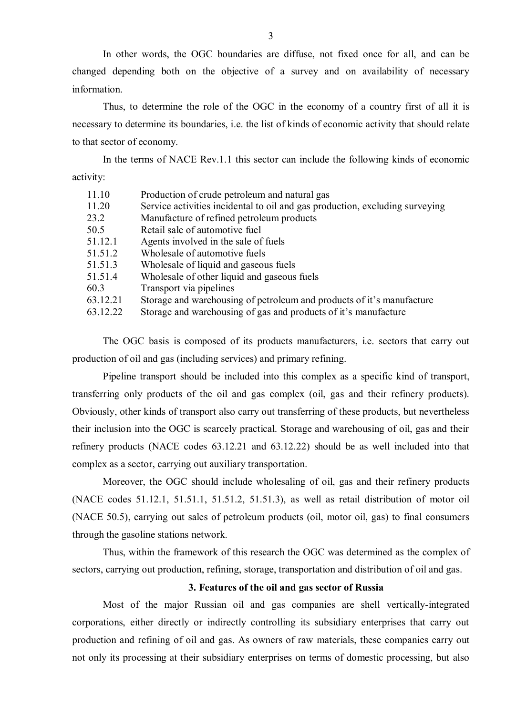In other words, the OGC boundaries are diffuse, not fixed once for all, and can be changed depending both on the objective of a survey and on availability of necessary information.

Thus, to determine the role of the OGC in the economy of a country first of all it is necessary to determine its boundaries, i.e. the list of kinds of economic activity that should relate to that sector of economy.

In the terms of NACE Rev.1.1 this sector can include the following kinds of economic activity:

| 11.10    | Production of crude petroleum and natural gas                                |
|----------|------------------------------------------------------------------------------|
| 11.20    | Service activities incidental to oil and gas production, excluding surveying |
| 23.2     | Manufacture of refined petroleum products                                    |
| 50.5     | Retail sale of automotive fuel                                               |
| 51.12.1  | Agents involved in the sale of fuels                                         |
| 51.51.2  | Wholesale of automotive fuels                                                |
| 51.51.3  | Wholesale of liquid and gaseous fuels                                        |
| 51.51.4  | Wholesale of other liquid and gaseous fuels                                  |
| 60.3     | Transport via pipelines                                                      |
| 63.12.21 | Storage and warehousing of petroleum and products of it's manufacture        |
| 63.12.22 | Storage and warehousing of gas and products of it's manufacture              |
|          |                                                                              |

The OGC basis is composed of its products manufacturers, i.e. sectors that carry out production of oil and gas (including services) and primary refining.

Pipeline transport should be included into this complex as a specific kind of transport, transferring only products of the oil and gas complex (oil, gas and their refinery products). Obviously, other kinds of transport also carry out transferring of these products, but nevertheless their inclusion into the OGC is scarcely practical. Storage and warehousing of oil, gas and their refinery products (NACE codes 63.12.21 and 63.12.22) should be as well included into that complex as a sector, carrying out auxiliary transportation.

Moreover, the OGC should include wholesaling of oil, gas and their refinery products (NACE codes 51.12.1, 51.51.1, 51.51.2, 51.51.3), as well as retail distribution of motor oil (NACE 50.5), carrying out sales of petroleum products (oil, motor oil, gas) to final consumers through the gasoline stations network.

Thus, within the framework of this research the OGC was determined as the complex of sectors, carrying out production, refining, storage, transportation and distribution of oil and gas.

# **3. Features of the oil and gas sector of Russia**

Most of the major Russian oil and gas companies are shell vertically-integrated corporations, either directly or indirectly controlling its subsidiary enterprises that carry out production and refining of oil and gas. As owners of raw materials, these companies carry out not only its processing at their subsidiary enterprises on terms of domestic processing, but also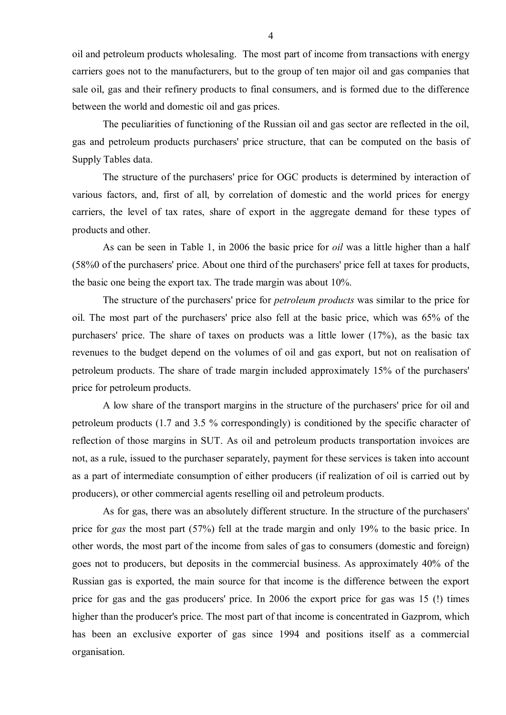oil and petroleum products wholesaling. The most part of income from transactions with energy carriers goes not to the manufacturers, but to the group of ten major oil and gas companies that sale oil, gas and their refinery products to final consumers, and is formed due to the difference between the world and domestic oil and gas prices.

The peculiarities of functioning of the Russian oil and gas sector are reflected in the oil, gas and petroleum products purchasers' price structure, that can be computed on the basis of Supply Tables data.

The structure of the purchasers' price for OGC products is determined by interaction of various factors, and, first of all, by correlation of domestic and the world prices for energy carriers, the level of tax rates, share of export in the aggregate demand for these types of products and other.

As can be seen in Table 1, in 2006 the basic price for *oil* was a little higher than a half (58%0 of the purchasers' price. About one third of the purchasers' price fell at taxes for products, the basic one being the export tax. The trade margin was about 10%.

The structure of the purchasers' price for *petroleum products* was similar to the price for oil. The most part of the purchasers' price also fell at the basic price, which was 65% of the purchasers' price. The share of taxes on products was a little lower (17%), as the basic tax revenues to the budget depend on the volumes of oil and gas export, but not on realisation of petroleum products. The share of trade margin included approximately 15% of the purchasers' price for petroleum products.

A low share of the transport margins in the structure of the purchasers' price for oil and petroleum products (1.7 and 3.5 % correspondingly) is conditioned by the specific character of reflection of those margins in SUT. As oil and petroleum products transportation invoices are not, as a rule, issued to the purchaser separately, payment for these services is taken into account as a part of intermediate consumption of either producers (if realization of oil is carried out by producers), or other commercial agents reselling oil and petroleum products.

As for gas, there was an absolutely different structure. In the structure of the purchasers' price for *gas* the most part (57%) fell at the trade margin and only 19% to the basic price. In other words, the most part of the income from sales of gas to consumers (domestic and foreign) goes not to producers, but deposits in the commercial business. As approximately 40% of the Russian gas is exported, the main source for that income is the difference between the export price for gas and the gas producers' price. In 2006 the export price for gas was 15 (!) times higher than the producer's price. The most part of that income is concentrated in Gazprom, which has been an exclusive exporter of gas since 1994 and positions itself as a commercial organisation.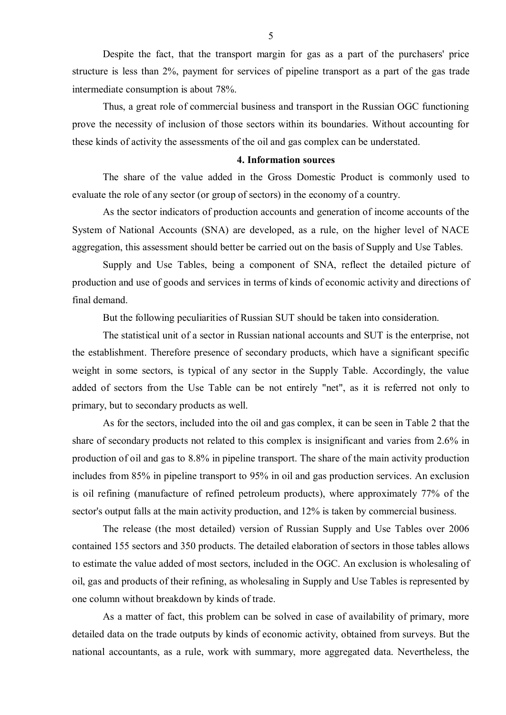Despite the fact, that the transport margin for gas as a part of the purchasers' price structure is less than 2%, payment for services of pipeline transport as a part of the gas trade intermediate consumption is about 78%.

Thus, a great role of commercial business and transport in the Russian OGC functioning prove the necessity of inclusion of those sectors within its boundaries. Without accounting for these kinds of activity the assessments of the oil and gas complex can be understated.

#### **4. Information sources**

The share of the value added in the Gross Domestic Product is commonly used to evaluate the role of any sector (or group of sectors) in the economy of a country.

As the sector indicators of production accounts and generation of income accounts of the System of National Accounts (SNA) are developed, as a rule, on the higher level of NACE aggregation, this assessment should better be carried out on the basis of Supply and Use Tables.

Supply and Use Tables, being a component of SNA, reflect the detailed picture of production and use of goods and services in terms of kinds of economic activity and directions of final demand.

But the following peculiarities of Russian SUT should be taken into consideration.

The statistical unit of a sector in Russian national accounts and SUT is the enterprise, not the establishment. Therefore presence of secondary products, which have a significant specific weight in some sectors, is typical of any sector in the Supply Table. Accordingly, the value added of sectors from the Use Table can be not entirely "net", as it is referred not only to primary, but to secondary products as well.

As for the sectors, included into the oil and gas complex, it can be seen in Table 2 that the share of secondary products not related to this complex is insignificant and varies from 2.6% in production of oil and gas to 8.8% in pipeline transport. The share of the main activity production includes from 85% in pipeline transport to 95% in oil and gas production services. An exclusion is oil refining (manufacture of refined petroleum products), where approximately 77% of the sector's output falls at the main activity production, and 12% is taken by commercial business.

The release (the most detailed) version of Russian Supply and Use Tables over 2006 contained 155 sectors and 350 products. The detailed elaboration of sectors in those tables allows to estimate the value added of most sectors, included in the OGC. An exclusion is wholesaling of oil, gas and products of their refining, as wholesaling in Supply and Use Tables is represented by one column without breakdown by kinds of trade.

As a matter of fact, this problem can be solved in case of availability of primary, more detailed data on the trade outputs by kinds of economic activity, obtained from surveys. But the national accountants, as a rule, work with summary, more aggregated data. Nevertheless, the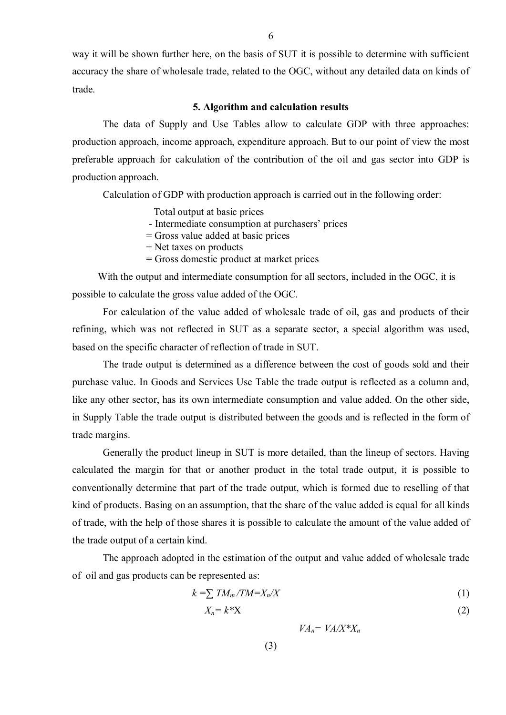way it will be shown further here, on the basis of SUT it is possible to determine with sufficient accuracy the share of wholesale trade, related to the OGC, without any detailed data on kinds of trade.

# **5. Algorithm and calculation results**

The data of Supply and Use Tables allow to calculate GDP with three approaches: production approach, income approach, expenditure approach. But to our point of view the most preferable approach for calculation of the contribution of the oil and gas sector into GDP is production approach.

Calculation of GDP with production approach is carried out in the following order:

Total output at basic prices

- Intermediate consumption at purchasers' prices

= Gross value added at basic prices

- + Net taxes on products
- = Gross domestic product at market prices

With the output and intermediate consumption for all sectors, included in the OGC, it is possible to calculate the gross value added of the OGC.

For calculation of the value added of wholesale trade of oil, gas and products of their refining, which was not reflected in SUT as a separate sector, a special algorithm was used, based on the specific character of reflection of trade in SUT.

The trade output is determined as a difference between the cost of goods sold and their purchase value. In Goods and Services Use Table the trade output is reflected as a column and, like any other sector, has its own intermediate consumption and value added. On the other side, in Supply Table the trade output is distributed between the goods and is reflected in the form of trade margins.

Generally the product lineup in SUT is more detailed, than the lineup of sectors. Having calculated the margin for that or another product in the total trade output, it is possible to conventionally determine that part of the trade output, which is formed due to reselling of that kind of products. Basing on an assumption, that the share of the value added is equal for all kinds of trade, with the help of those shares it is possible to calculate the amount of the value added of the trade output of a certain kind.

The approach adopted in the estimation of the output and value added of wholesale trade of oil and gas products can be represented as:

$$
k = \sum TM_m / TM = X_n / X \tag{1}
$$

$$
X_n = k^* \mathbf{X} \tag{2}
$$

 $VA_n = VA/X^*X_n$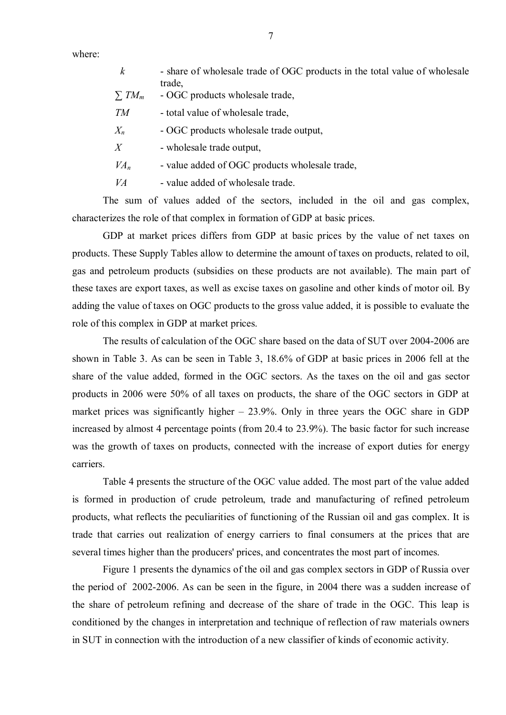where:

| $\boldsymbol{k}$<br>- share of wholesale trade of OGC products in the total value of wholesale<br>trade, |  |
|----------------------------------------------------------------------------------------------------------|--|
| $\sum TM_m$<br>- OGC products wholesale trade,                                                           |  |
| TM<br>- total value of wholesale trade,                                                                  |  |
| - OGC products wholesale trade output,<br>$X_n$                                                          |  |
| $\boldsymbol{X}$<br>- wholesale trade output,                                                            |  |
| $VA_n$<br>- value added of OGC products wholesale trade,                                                 |  |
| VA<br>- value added of wholesale trade.                                                                  |  |

The sum of values added of the sectors, included in the oil and gas complex, characterizes the role of that complex in formation of GDP at basic prices.

GDP at market prices differs from GDP at basic prices by the value of net taxes on products. These Supply Tables allow to determine the amount of taxes on products, related to oil, gas and petroleum products (subsidies on these products are not available). The main part of these taxes are export taxes, as well as excise taxes on gasoline and other kinds of motor oil. By adding the value of taxes on OGC products to the gross value added, it is possible to evaluate the role of this complex in GDP at market prices.

The results of calculation of the OGC share based on the data of SUT over 2004-2006 are shown in Table 3. As can be seen in Table 3, 18.6% of GDP at basic prices in 2006 fell at the share of the value added, formed in the OGC sectors. As the taxes on the oil and gas sector products in 2006 were 50% of all taxes on products, the share of the OGC sectors in GDP at market prices was significantly higher – 23.9%. Only in three years the OGC share in GDP increased by almost 4 percentage points (from 20.4 to 23.9%). The basic factor for such increase was the growth of taxes on products, connected with the increase of export duties for energy carriers.

Table 4 presents the structure of the OGC value added. The most part of the value added is formed in production of crude petroleum, trade and manufacturing of refined petroleum products, what reflects the peculiarities of functioning of the Russian oil and gas complex. It is trade that carries out realization of energy carriers to final consumers at the prices that are several times higher than the producers' prices, and concentrates the most part of incomes.

Figure 1 presents the dynamics of the oil and gas complex sectors in GDP of Russia over the period of 2002-2006. As can be seen in the figure, in 2004 there was a sudden increase of the share of petroleum refining and decrease of the share of trade in the OGC. This leap is conditioned by the changes in interpretation and technique of reflection of raw materials owners in SUT in connection with the introduction of a new classifier of kinds of economic activity.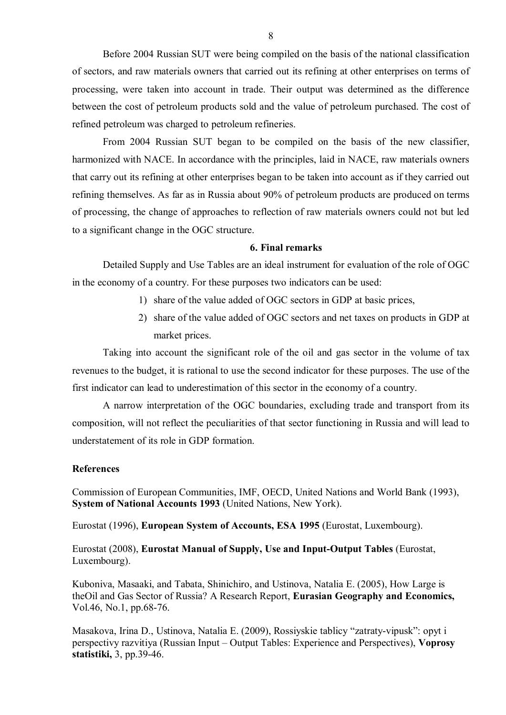Before 2004 Russian SUT were being compiled on the basis of the national classification of sectors, and raw materials owners that carried out its refining at other enterprises on terms of processing, were taken into account in trade. Their output was determined as the difference between the cost of petroleum products sold and the value of petroleum purchased. The cost of refined petroleum was charged to petroleum refineries.

From 2004 Russian SUT began to be compiled on the basis of the new classifier, harmonized with NACE. In accordance with the principles, laid in NACE, raw materials owners that carry out its refining at other enterprises began to be taken into account as if they carried out refining themselves. As far as in Russia about 90% of petroleum products are produced on terms of processing, the change of approaches to reflection of raw materials owners could not but led to a significant change in the OGC structure.

#### **6. Final remarks**

Detailed Supply and Use Tables are an ideal instrument for evaluation of the role of OGC in the economy of a country. For these purposes two indicators can be used:

- 1) share of the value added of OGC sectors in GDP at basic prices,
- 2) share of the value added of OGC sectors and net taxes on products in GDP at market prices.

Taking into account the significant role of the oil and gas sector in the volume of tax revenues to the budget, it is rational to use the second indicator for these purposes. The use of the first indicator can lead to underestimation of this sector in the economy of a country.

A narrow interpretation of the OGC boundaries, excluding trade and transport from its composition, will not reflect the peculiarities of that sector functioning in Russia and will lead to understatement of its role in GDP formation.

#### **References**

Commission of European Communities, IMF, OECD, United Nations and World Bank (1993), **System of National Accounts 1993** (United Nations, New York).

Eurostat (1996), **European System of Accounts, ESA 1995** (Eurostat, Luxembourg).

Eurostat (2008), **Eurostat Manual of Supply, Use and Input-Output Tables** (Eurostat, Luxembourg).

Kuboniva, Masaaki, and Tabata, Shinichiro, and Ustinova, Natalia E. (2005), How Large is theOil and Gas Sector of Russia? A Research Report, **Eurasian Geography and Economics,** Vol.46, No.1, pp.68-76.

Masakova, Irina D., Ustinova, Natalia E. (2009), Rossiyskie tablicy "zatraty-vipusk": opyt i perspectivy razvitiya (Russian Input – Output Tables: Experience and Perspectives), **Voprosy statistiki,** 3, pp.39-46.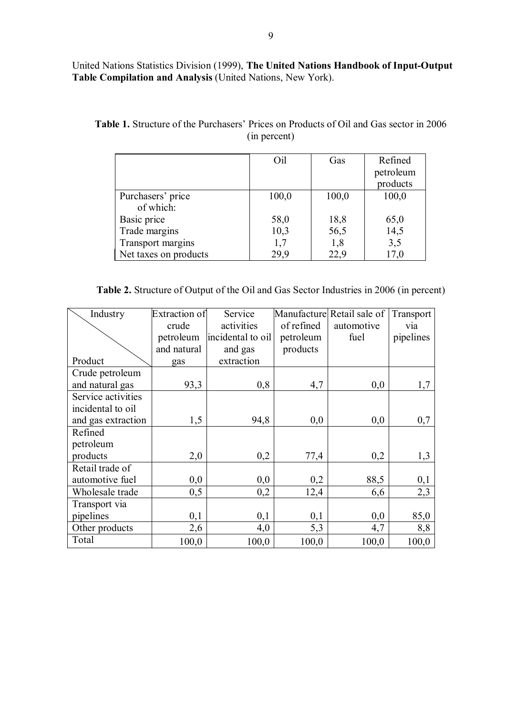United Nations Statistics Division (1999), **The United Nations Handbook of Input-Output Table Compilation and Analysis** (United Nations, New York).

|                       | Oil   | Gas   | Refined   |
|-----------------------|-------|-------|-----------|
|                       |       |       | petroleum |
|                       |       |       | products  |
| Purchasers' price     | 100,0 | 100,0 | 100,0     |
| of which:             |       |       |           |
| Basic price           | 58,0  | 18,8  | 65,0      |
| Trade margins         | 10,3  | 56,5  | 14,5      |
| Transport margins     | 1,7   | 1,8   | 3,5       |
| Net taxes on products | 29,9  | 22,9  | 17,0      |

**Table 1.** Structure of the Purchasers' Prices on Products of Oil and Gas sector in 2006 (in percent)

**Table 2.** Structure of Output of the Oil and Gas Sector Industries in 2006 (in percent)

| Industry           | Extraction of | Service           |            | Manufacture Retail sale of | Transport |
|--------------------|---------------|-------------------|------------|----------------------------|-----------|
|                    | crude         | activities        | of refined | automotive                 | via       |
|                    | petroleum     | incidental to oil | petroleum  | fuel                       | pipelines |
|                    | and natural   | and gas           | products   |                            |           |
| Product            | gas           | extraction        |            |                            |           |
| Crude petroleum    |               |                   |            |                            |           |
| and natural gas    | 93,3          | 0,8               | 4,7        | 0,0                        | 1,7       |
| Service activities |               |                   |            |                            |           |
| incidental to oil  |               |                   |            |                            |           |
| and gas extraction | 1,5           | 94,8              | 0,0        | 0,0                        | 0,7       |
| Refined            |               |                   |            |                            |           |
| petroleum          |               |                   |            |                            |           |
| products           | 2,0           | 0,2               | 77,4       | 0,2                        | 1,3       |
| Retail trade of    |               |                   |            |                            |           |
| automotive fuel    | 0,0           | 0,0               | 0,2        | 88,5                       | 0,1       |
| Wholesale trade    | 0, 5          | 0,2               | 12,4       | 6,6                        | 2,3       |
| Transport via      |               |                   |            |                            |           |
| pipelines          | 0,1           | 0,1               | 0,1        | 0,0                        | 85,0      |
| Other products     | 2,6           | 4,0               | 5,3        | 4,7                        | 8,8       |
| Total              | 100,0         | 100,0             | 100,0      | 100,0                      | 100,0     |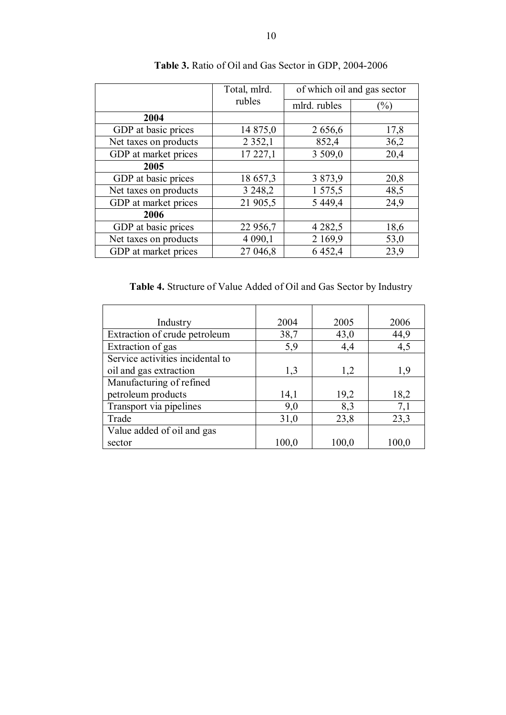|                       | Total, mlrd. | of which oil and gas sector |        |  |
|-----------------------|--------------|-----------------------------|--------|--|
|                       | rubles       | mlrd. rubles                | $(\%)$ |  |
| 2004                  |              |                             |        |  |
| GDP at basic prices   | 14 875,0     | 2656,6                      | 17,8   |  |
| Net taxes on products | 2 3 5 2 , 1  | 852,4                       | 36,2   |  |
| GDP at market prices  | 17 227,1     | 3 509,0                     | 20,4   |  |
| 2005                  |              |                             |        |  |
| GDP at basic prices   | 18 657,3     | 3 873,9                     | 20,8   |  |
| Net taxes on products | 3 2 4 8 , 2  | 1 575,5                     | 48,5   |  |
| GDP at market prices  | 21 905,5     | 5 4 4 9 4                   | 24,9   |  |
| 2006                  |              |                             |        |  |
| GDP at basic prices   | 22 956,7     | 4 2 8 2 , 5                 | 18,6   |  |
| Net taxes on products | 4 0 9 0 , 1  | 2 169,9                     | 53,0   |  |
| GDP at market prices  | 27 046,8     | 6452,4                      | 23,9   |  |

**Table 3.** Ratio of Oil and Gas Sector in GDP, 2004-2006

**Table 4.** Structure of Value Added of Oil and Gas Sector by Industry

| Industry                         | 2004  | 2005  | 2006  |
|----------------------------------|-------|-------|-------|
| Extraction of crude petroleum    | 38,7  | 43,0  | 44,9  |
| Extraction of gas                | 5,9   | 4,4   | 4,5   |
| Service activities incidental to |       |       |       |
| oil and gas extraction           | 1,3   | 1,2   | 1,9   |
| Manufacturing of refined         |       |       |       |
| petroleum products               | 14,1  | 19,2  | 18,2  |
| Transport via pipelines          | 9,0   | 8,3   | 7,1   |
| Trade                            | 31,0  | 23,8  | 23,3  |
| Value added of oil and gas       |       |       |       |
| sector                           | 100,0 | 100,0 | 100,0 |